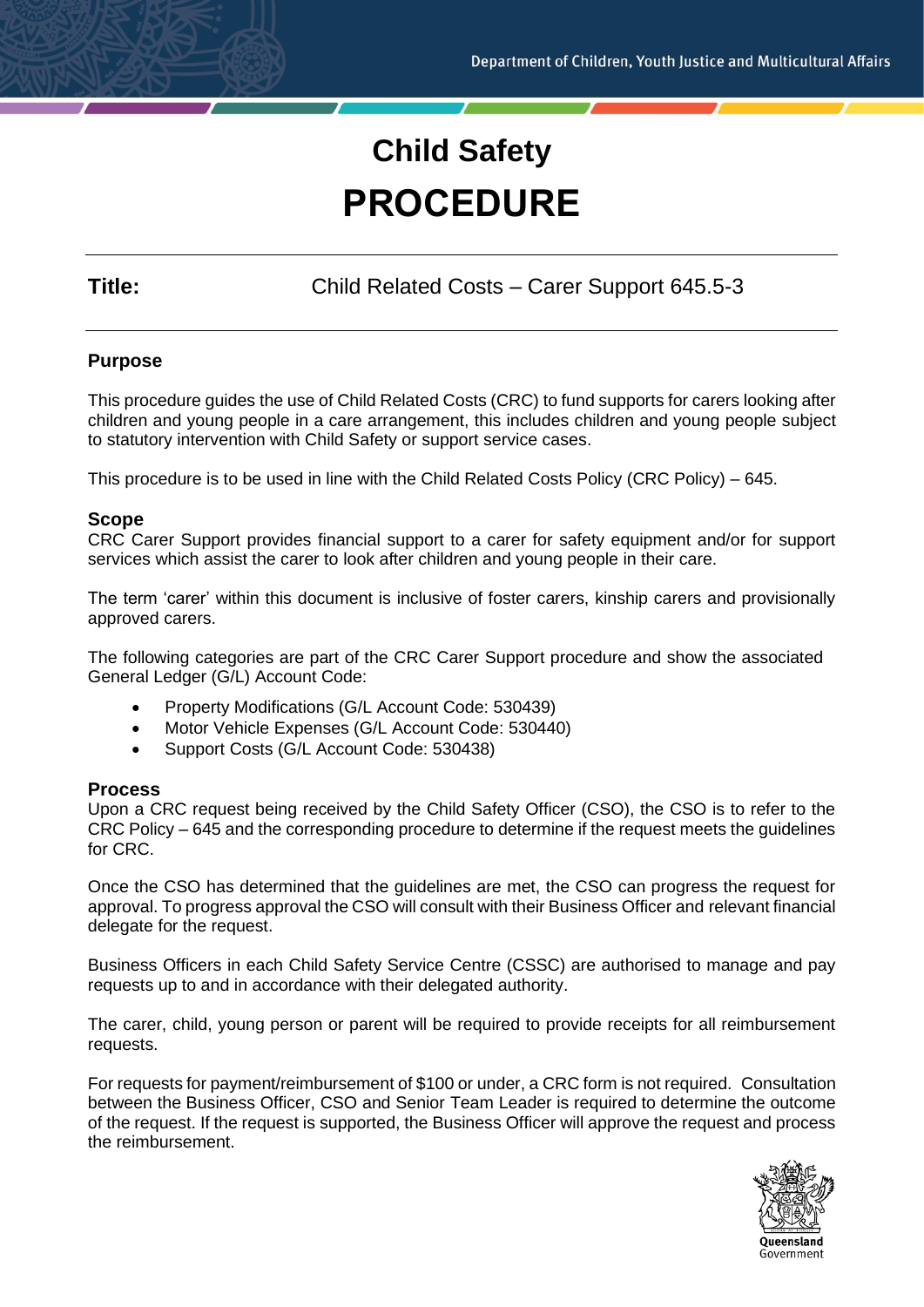# **Child Safety PROCEDURE**

**Title:** Child Related Costs – Carer Support 645.5-3

# **Purpose**

This procedure guides the use of Child Related Costs (CRC) to fund supports for carers looking after children and young people in a care arrangement, this includes children and young people subject to statutory intervention with Child Safety or support service cases.

This procedure is to be used in line with the Child Related Costs Policy (CRC Policy) – 645.

# **Scope**

CRC Carer Support provides financial support to a carer for safety equipment and/or for support services which assist the carer to look after children and young people in their care.

The term 'carer' within this document is inclusive of foster carers, kinship carers and provisionally approved carers.

The following categories are part of the CRC Carer Support procedure and show the associated General Ledger (G/L) Account Code:

- Property Modifications (G/L Account Code: 530439)
- Motor Vehicle Expenses (G/L Account Code: 530440)
- Support Costs (G/L Account Code: 530438)

# **Process**

Upon a CRC request being received by the Child Safety Officer (CSO), the CSO is to refer to the CRC Policy – 645 and the corresponding procedure to determine if the request meets the guidelines for CRC.

Once the CSO has determined that the guidelines are met, the CSO can progress the request for approval. To progress approval the CSO will consult with their Business Officer and relevant financial delegate for the request.

Business Officers in each Child Safety Service Centre (CSSC) are authorised to manage and pay requests up to and in accordance with their delegated authority.

The carer, child, young person or parent will be required to provide receipts for all reimbursement requests.

For requests for payment/reimbursement of \$100 or under, a CRC form is not required. Consultation between the Business Officer, CSO and Senior Team Leader is required to determine the outcome of the request. If the request is supported, the Business Officer will approve the request and process the reimbursement.

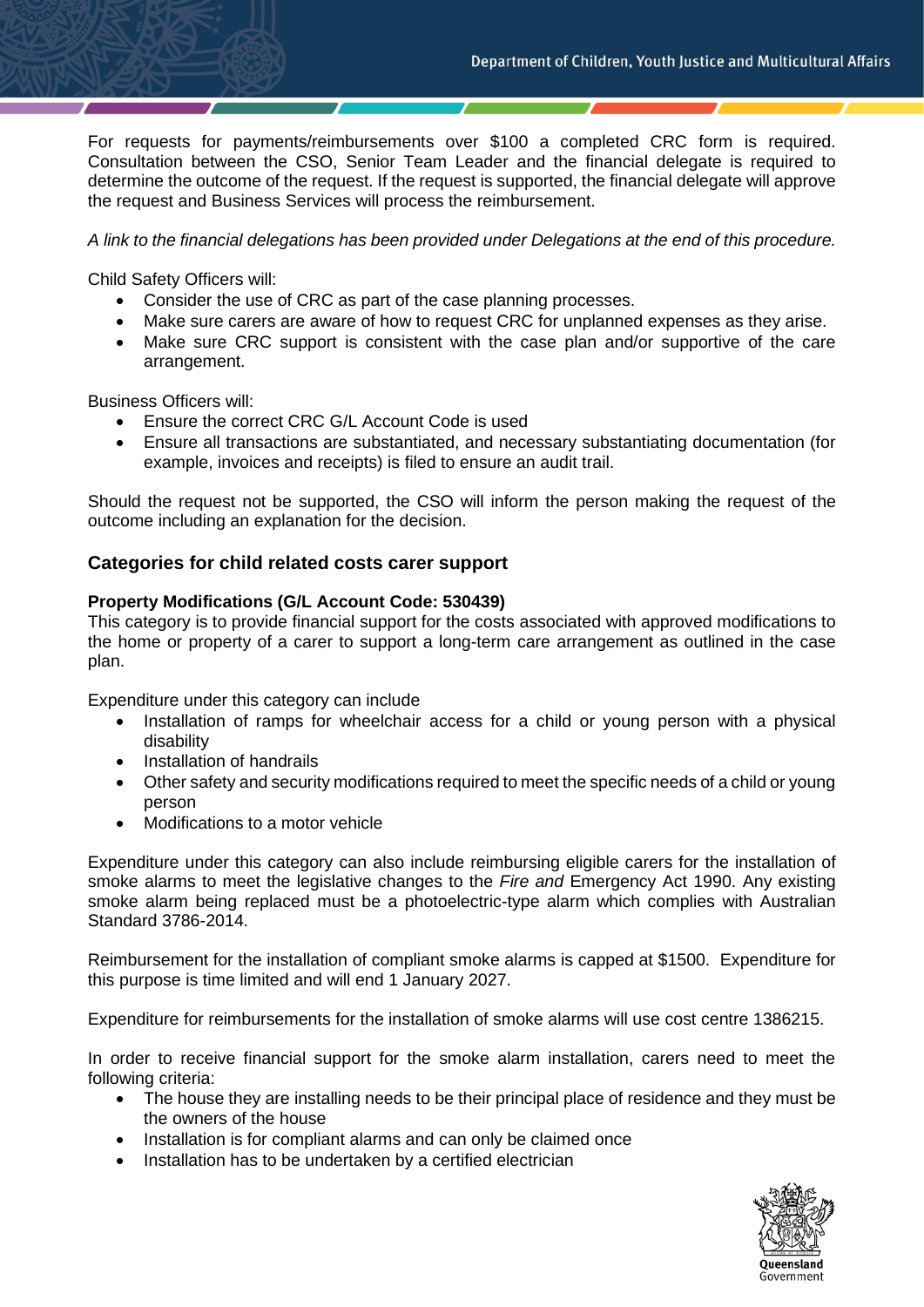For requests for payments/reimbursements over \$100 a completed CRC form is required. Consultation between the CSO, Senior Team Leader and the financial delegate is required to determine the outcome of the request. If the request is supported, the financial delegate will approve the request and Business Services will process the reimbursement.

*A link to the financial delegations has been provided under Delegations at the end of this procedure.*

Child Safety Officers will:

- Consider the use of CRC as part of the case planning processes.
- Make sure carers are aware of how to request CRC for unplanned expenses as they arise.
- Make sure CRC support is consistent with the case plan and/or supportive of the care arrangement.

Business Officers will:

- Ensure the correct CRC G/L Account Code is used
- Ensure all transactions are substantiated, and necessary substantiating documentation (for example, invoices and receipts) is filed to ensure an audit trail.

Should the request not be supported, the CSO will inform the person making the request of the outcome including an explanation for the decision.

# **Categories for child related costs carer support**

#### **Property Modifications (G/L Account Code: 530439)**

This category is to provide financial support for the costs associated with approved modifications to the home or property of a carer to support a long-term care arrangement as outlined in the case plan.

Expenditure under this category can include

- Installation of ramps for wheelchair access for a child or young person with a physical disability
- Installation of handrails
- Other safety and security modifications required to meet the specific needs of a child or young person
- Modifications to a motor vehicle

Expenditure under this category can also include reimbursing eligible carers for the installation of smoke alarms to meet the legislative changes to the *Fire and* Emergency Act 1990. Any existing smoke alarm being replaced must be a photoelectric-type alarm which complies with Australian Standard 3786-2014.

Reimbursement for the installation of compliant smoke alarms is capped at \$1500. Expenditure for this purpose is time limited and will end 1 January 2027.

Expenditure for reimbursements for the installation of smoke alarms will use cost centre 1386215.

In order to receive financial support for the smoke alarm installation, carers need to meet the following criteria:

- The house they are installing needs to be their principal place of residence and they must be the owners of the house
- Installation is for compliant alarms and can only be claimed once
- Installation has to be undertaken by a certified electrician

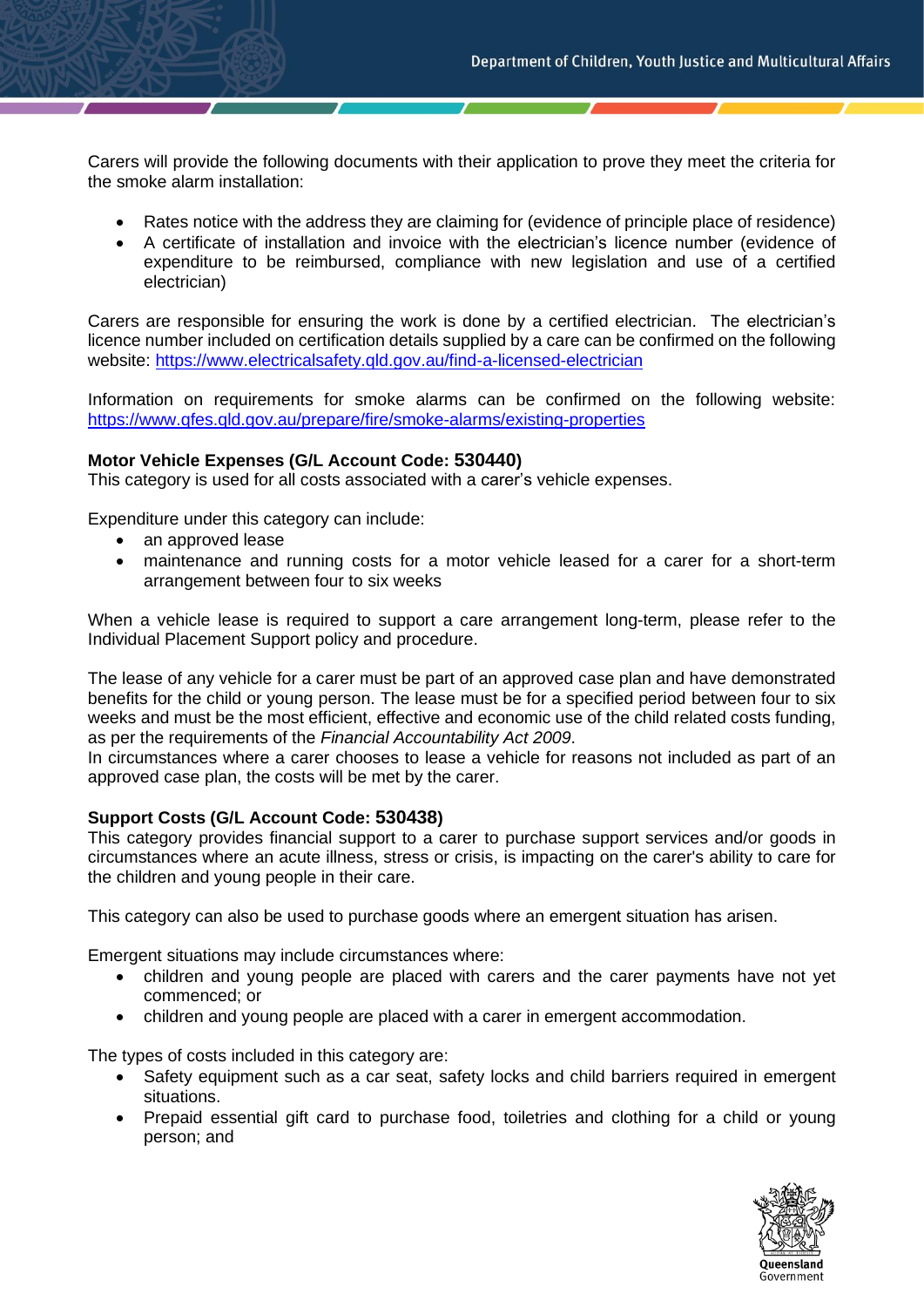Carers will provide the following documents with their application to prove they meet the criteria for the smoke alarm installation:

- Rates notice with the address they are claiming for (evidence of principle place of residence)
- A certificate of installation and invoice with the electrician's licence number (evidence of expenditure to be reimbursed, compliance with new legislation and use of a certified electrician)

Carers are responsible for ensuring the work is done by a certified electrician. The electrician's licence number included on certification details supplied by a care can be confirmed on the following website:<https://www.electricalsafety.qld.gov.au/find-a-licensed-electrician>

Information on requirements for smoke alarms can be confirmed on the following website: <https://www.qfes.qld.gov.au/prepare/fire/smoke-alarms/existing-properties>

#### **Motor Vehicle Expenses (G/L Account Code: 530440)**

This category is used for all costs associated with a carer's vehicle expenses.

Expenditure under this category can include:

- an approved lease
- maintenance and running costs for a motor vehicle leased for a carer for a short-term arrangement between four to six weeks

When a vehicle lease is required to support a care arrangement long-term, please refer to the Individual Placement Support policy and procedure.

The lease of any vehicle for a carer must be part of an approved case plan and have demonstrated benefits for the child or young person. The lease must be for a specified period between four to six weeks and must be the most efficient, effective and economic use of the child related costs funding, as per the requirements of the *Financial Accountability Act 2009*.

In circumstances where a carer chooses to lease a vehicle for reasons not included as part of an approved case plan, the costs will be met by the carer.

# **Support Costs (G/L Account Code: 530438)**

This category provides financial support to a carer to purchase support services and/or goods in circumstances where an acute illness, stress or crisis, is impacting on the carer's ability to care for the children and young people in their care.

This category can also be used to purchase goods where an emergent situation has arisen.

Emergent situations may include circumstances where:

- children and young people are placed with carers and the carer payments have not yet commenced; or
- children and young people are placed with a carer in emergent accommodation.

The types of costs included in this category are:

- Safety equipment such as a car seat, safety locks and child barriers required in emergent situations.
- Prepaid essential gift card to purchase food, toiletries and clothing for a child or young person; and

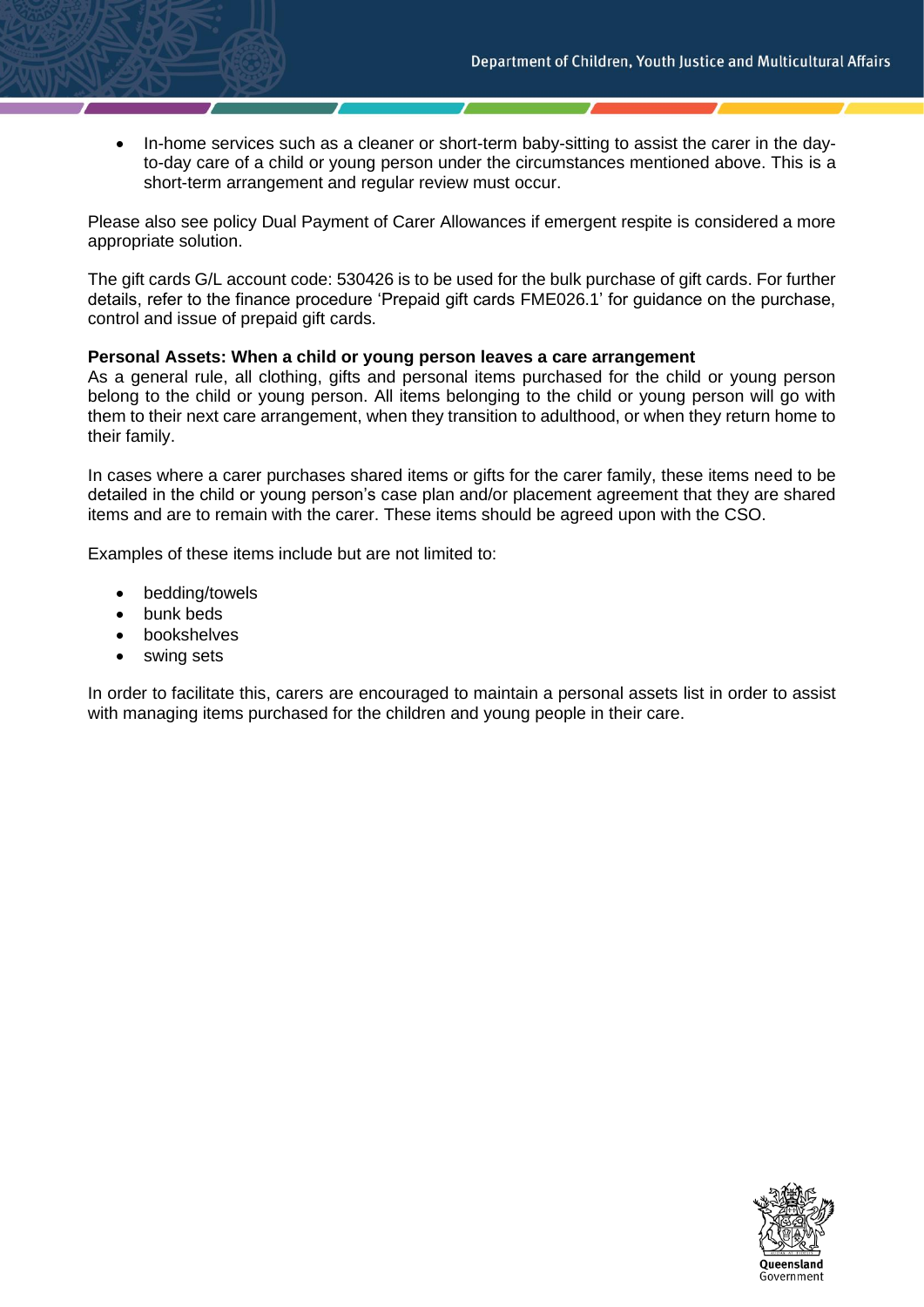• In-home services such as a cleaner or short-term baby-sitting to assist the carer in the dayto-day care of a child or young person under the circumstances mentioned above. This is a short-term arrangement and regular review must occur.

Please also see policy Dual Payment of Carer Allowances if emergent respite is considered a more appropriate solution.

The gift cards G/L account code: 530426 is to be used for the bulk purchase of gift cards. For further details, refer to the finance procedure 'Prepaid gift cards FME026.1' for guidance on the purchase, control and issue of prepaid gift cards.

#### **Personal Assets: When a child or young person leaves a care arrangement**

As a general rule, all clothing, gifts and personal items purchased for the child or young person belong to the child or young person. All items belonging to the child or young person will go with them to their next care arrangement, when they transition to adulthood, or when they return home to their family.

In cases where a carer purchases shared items or gifts for the carer family, these items need to be detailed in the child or young person's case plan and/or placement agreement that they are shared items and are to remain with the carer. These items should be agreed upon with the CSO.

Examples of these items include but are not limited to:

- bedding/towels
- bunk beds
- **bookshelves**
- swing sets

In order to facilitate this, carers are encouraged to maintain a personal assets list in order to assist with managing items purchased for the children and young people in their care.

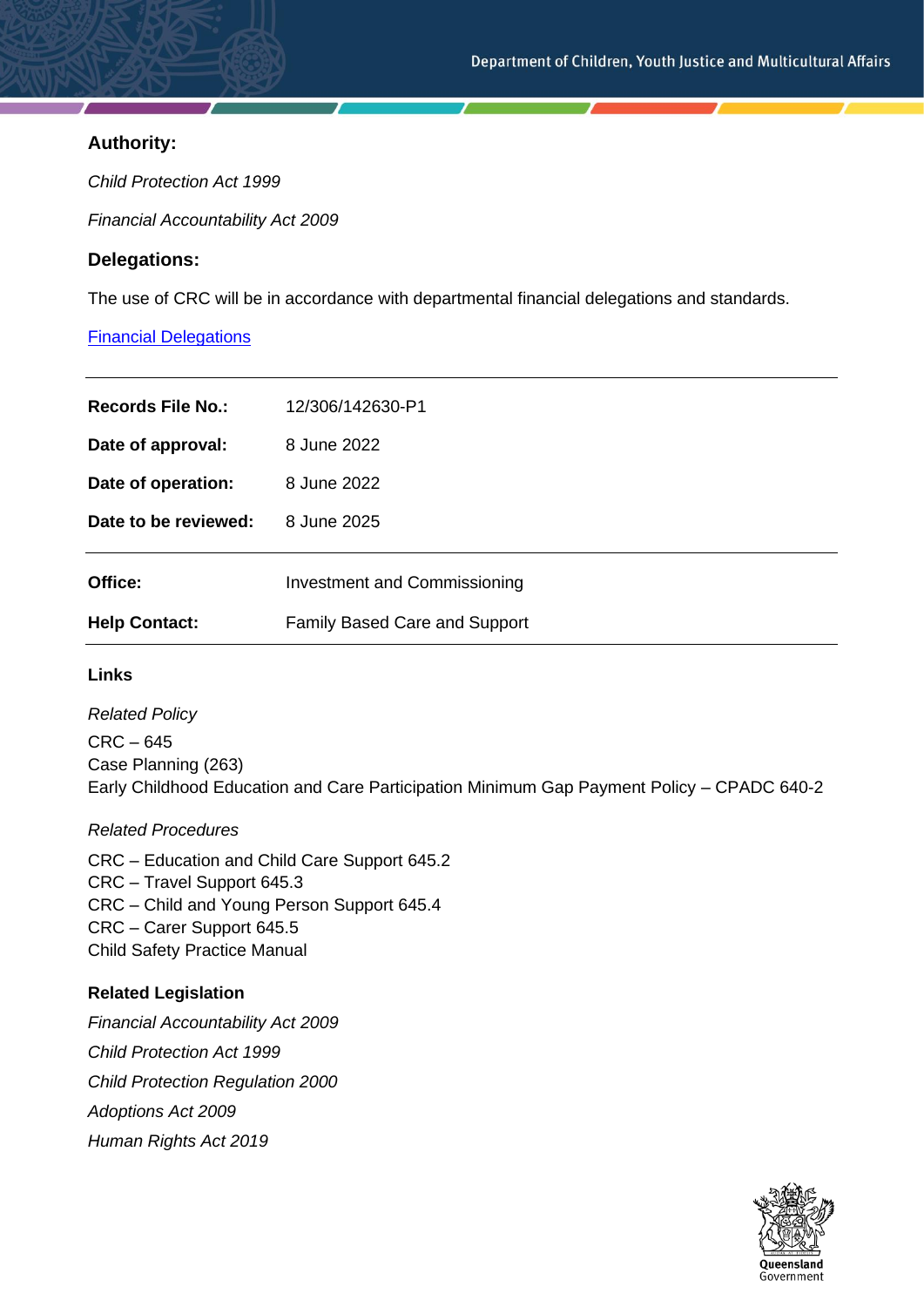# **Authority:**

*Child Protection Act 1999*

*Financial Accountability Act 2009*

# **Delegations:**

The use of CRC will be in accordance with departmental financial delegations and standards.

# [Financial Delegations](https://cyjmaintranet.root.internal/finance-procurement/financial-delegations)

| Records File No.:    | 12/306/142630-P1                     |
|----------------------|--------------------------------------|
| Date of approval:    | 8 June 2022                          |
| Date of operation:   | 8 June 2022                          |
| Date to be reviewed: | 8 June 2025                          |
| Office:              | <b>Investment and Commissioning</b>  |
| <b>Help Contact:</b> | <b>Family Based Care and Support</b> |

#### **Links**

*Related Policy* CRC – 645 Case Planning (263) Early Childhood Education and Care Participation Minimum Gap Payment Policy – CPADC 640-2

# *Related Procedures*

CRC – Education and Child Care Support 645.2 CRC – Travel Support 645.3 CRC – Child and Young Person Support 645.4 CRC – Carer Support 645.5 Child Safety Practice Manual

# **Related Legislation**

*Financial Accountability Act 2009 Child Protection Act 1999 Child Protection Regulation 2000 Adoptions Act 2009 Human Rights Act 2019*